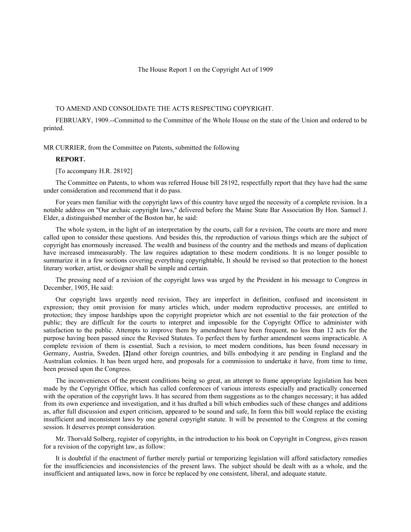## The House Report 1 on the Copyright Act of 1909

## TO AMEND AND CONSOLIDATE THE ACTS RESPECTING COPYRIGHT.

FEBRUARY, 1909.--Committed to the Committee of the Whole House on the state of the Union and ordered to be printed.

## MR CURRIER, from the Committee on Patents, submitted the following

## **REPORT.**

[To accompany H.R. 28192]

The Committee on Patents, to whom was referred House bill 28192, respectfully report that they have had the same under consideration and recommend that it do pass.

For years men familiar with the copyright laws of this country have urged the necessity of a complete revision. In a notable address on ''Our archaic copyright laws,'' delivered before the Maine State Bar Association By Hon. Samuel J. Elder, a distinguished member of the Boston bar, he said:

The whole system, in the light of an interpretation by the courts, call for a revision, The courts are more and more called upon to consider these questions. And besides this, the reproduction of various things which are the subject of copyright has enormously increased. The wealth and business of the country and the methods and means of duplication have increased immeasurably. The law requires adaptation to these modern conditions. It is no longer possible to summarize it in a few sections covering everything copyrightable, It should be revised so that protection to the honest literary worker, artist, or designer shall be simple and certain.

The pressing need of a revision of the copyright laws was urged by the President in his message to Congress in December, 1905, He said:

Our copyright laws urgently need revision, They are imperfect in definition, confused and inconsistent in expression; they omit provision for many articles which, under modern reproductive processes, are entitled to protection; they impose hardships upon the copyright proprietor which are not essential to the fair protection of the public; they are difficult for the courts to interpret and impossible for the Copyright Office to administer with satisfaction to the public. Attempts to improve them by amendment have been frequent, no less than 12 acts for the purpose having been passed since the Revised Statutes. To perfect them by further amendment seems impracticable. A complete revision of them is essential. Such a revision, to meet modern conditions, has been found necessary in Germany, Austria, Sweden, **[2]**and other foreign countries, and bills embodying it are pending in England and the Australian colonies. It has been urged here, and proposals for a commission to undertake it have, from time to time, been pressed upon the Congress.

The inconveniences of the present conditions being so great, an attempt to frame appropriate legislation has been made by the Copyright Office, which has called conferences of various interests especially and practically concerned with the operation of the copyright laws. It has secured from them suggestions as to the changes necessary; it has added from its own experience and investigation, and it has drafted a bill which embodies such of these changes and additions as, after full discussion and expert criticism, appeared to be sound and safe, In form this bill would replace the existing insufficient and inconsistent laws by one general copyright statute. It will be presented to the Congress at the coming session. It deserves prompt consideration.

Mr. Thorvald Solberg, register of copyrights, in the introduction to his book on Copyright in Congress, gives reason for a revision of the copyright law, as follow:

It is doubtful if the enactment of further merely partial or temporizing legislation will afford satisfactory remedies for the insufficiencies and inconsistencies of the present laws. The subject should be dealt with as a whole, and the insufficient and antiquated laws, now in force be replaced by one consistent, liberal, and adequate statute.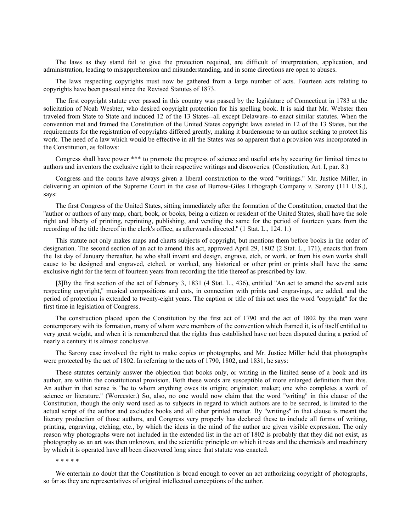The laws as they stand fail to give the protection required, are difficult of interpretation, application, and administration, leading to misapprehension and misunderstanding, and in some directions are open to abuses.

The laws respecting copyrights must now be gathered from a large number of acts. Fourteen acts relating to copyrights have been passed since the Revised Statutes of 1873.

The first copyright statute ever passed in this country was passed by the legislature of Connecticut in 1783 at the solicitation of Noah Wesbter, who desired copyright protection for his spelling book. It is said that Mr. Webster then traveled from State to State and induced 12 of the 13 States--all except Delaware--to enact similar statutes. When the convention met and framed the Constitution of the United States copyright laws existed in 12 of the 13 States, but the requirements for the registration of copyrights differed greatly, making it burdensome to an author seeking to protect his work. The need of a law which would be effective in all the States was so apparent that a provision was incorporated in the Constitution, as follows:

Congress shall have power \*\*\* to promote the progress of science and useful arts by securing for limited times to authors and inventors the exclusive right to their respective writings and discoveries. (Constitution, Art. I, par. 8.)

Congress and the courts have always given a liberal construction to the word ''writings.'' Mr. Justice Miller, in delivering an opinion of the Supreme Court in the case of Burrow-Giles Lithograph Company *v.* Sarony (111 U.S.), says:

The first Congress of the United States, sitting immediately after the formation of the Constitution, enacted that the ''author or authors of any map, chart, book, or books, being a citizen or resident of the United States, shall have the sole right and liberty of printing, reprinting, publishing, and vending the same for the period of fourteen years from the recording of the title thereof in the clerk's office, as afterwards directed.'' (1 Stat. L., 124. 1.)

This statute not only makes maps and charts subjects of copyright, but mentions them before books in the order of designation. The second section of an act to amend this act, approved April 29, 1802 (2 Stat. L., 171), enacts that from the 1st day of January thereafter, he who shall invent and design, engrave, etch, or work, or from his own works shall cause to be designed and engraved, etched, or worked, any historical or other print or prints shall have the same exclusive right for the term of fourteen years from recording the title thereof as prescribed by law.

**[3]**By the first section of the act of February 3, 1831 (4 Stat. L., 436), entitled ''An act to amend the several acts respecting copyright,'' musical compositions and cuts, in connection with prints and engravings, are added, and the period of protection is extended to twenty-eight years. The caption or title of this act uses the word ''copyright'' for the first time in legislation of Congress.

The construction placed upon the Constitution by the first act of 1790 and the act of 1802 by the men were contemporary with its formation, many of whom were members of the convention which framed it, is of itself entitled to very great weight, and when it is remembered that the rights thus established have not been disputed during a period of nearly a century it is almost conclusive.

The Sarony case involved the right to make copies or photographs, and Mr. Justice Miller held that photographs were protected by the act of 1802. In referring to the acts of 1790, 1802, and 1831, he says:

These statutes certainly answer the objection that books only, or writing in the limited sense of a book and its author, are within the constitutional provision. Both these words are susceptible of more enlarged definition than this. An author in that sense is ''he to whom anything owes its origin; originator; maker; one who completes a work of science or literature.'' (Worcester.) So, also, no one would now claim that the word ''writing'' in this clause of the Constitution, though the only word used as to subjects in regard to which authors are to be secured, is limited to the actual script of the author and excludes books and all other printed matter. By ''writings'' in that clause is meant the literary production of those authors, and Congress very properly has declared these to include all forms of writing, printing, engraving, etching, etc., by which the ideas in the mind of the author are given visible expression. The only reason why photographs were not included in the extended list in the act of 1802 is probably that they did not exist, as photography as an art was then unknown, and the scientific principle on which it rests and the chemicals and machinery by which it is operated have all been discovered long since that statute was enacted.

\* \* \* \* \*

We entertain no doubt that the Constitution is broad enough to cover an act authorizing copyright of photographs, so far as they are representatives of original intellectual conceptions of the author.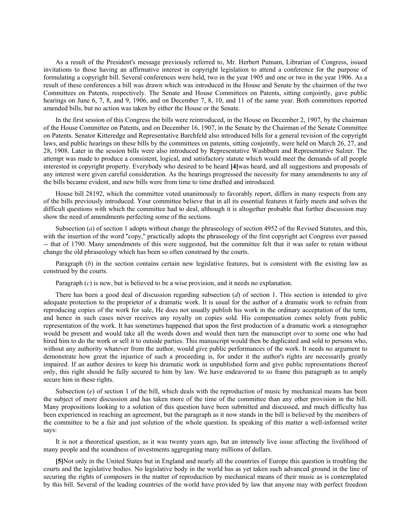As a result of the President's message previously referred to, Mr. Herbert Putnam, Librarian of Congress, issued invitations to those having an affirmative interest in copyright legislation to attend a conference for the purpose of formulating a copyright bill. Several conferences were held, two in the year 1905 and one or two in the year 1906. As a result of these conferences a bill was drawn which was introduced in the House and Senate by the chairmen of the two Committees on Patents, respectively. The Senate and House Committees on Patents, sitting conjointly, gave public hearings on June 6, 7, 8, and 9, 1906, and on December 7, 8, 10, and 11 of the same year. Both committees reported amended bills, but no action was taken by either the House or the Senate.

In the first session of this Congress the bills were reintroduced, in the House on December 2, 1907, by the chairman of the House Committee on Patents, and on December 16, 1907, in the Senate by the Chairman of the Senate Committee on Patents. Senator Kitteredge and Representative Barchfeld also introduced bills for a general revision of the copyright laws, and public hearings on these bills by the committees on patents, sitting conjointly, were held on March 26, 27, and 28, 1908. Later in the session bills were also introduced by Representative Washburn and Representative Sulzer. The attempt was made to produce a consistent, logical, and satisfactory statute which would meet the demands of all people interested in copyright property. Everybody who desired to be heard **[4]**was heard, and all suggestions and proposals of any interest were given careful consideration. As the hearings progressed the necessity for many amendments to any of the bills became evident, and new bills were from time to time drafted and introduced.

House bill 28192, which the committee voted unanimously to favorably report, differs in many respects from any of the bills previously introduced. Your committee believe that in all its essential features it fairly meets and solves the difficult questions with which the committee had to deal, although it is altogether probable that further discussion may show the need of amendments perfecting some of the sections.

Subsection (*a*) of section 1 adopts without change the phraseology of section 4952 of the Revised Statutes, and this, with the insertion of the word ''copy,'' practically adopts the phraseology of the first copyright act Congress ever passed -- that of 1790. Many amendments of this were suggested, but the committee felt that it was safer to retain without change the old phraseology which has been so often construed by the courts.

Paragraph (*b*) in the section contains certain new legislative features, but is consistent with the existing law as construed by the courts.

Paragraph (*c*) is new, but is believed to be a wise provision, and it needs no explanation.

There has been a good deal of discussion regarding subsection (*d*) of section 1. This section is intended to give adequate protection to the proprietor of a dramatic work. It is usual for the author of a dramatic work to refrain from reproducing copies of the work for sale, He does not usually publish his work in the ordinary acceptation of the term, and hence in such cases never receives any royalty on copies sold. His compensation comes solely from public representation of the work. It has sometimes happened that upon the first production of a dramatic work a stenographer would be present and would take all the words down and would then turn the manuscript over to some one who had hired him to do the work or sell it to outside parties. This manuscript would then be duplicated and sold to persons who, without any authority whatever from the author, would give public performances of the work. It needs no argument to demonstrate how great the injustice of such a proceeding is, for under it the author's rights are necessarily greatly impaired. If an author desires to keep his dramatic work in unpublished form and give public representations thereof only, this right should be fully secured to him by law. We have endeavored to so frame this paragraph as to amply secure him in these rights.

Subsection (*e*) of section 1 of the bill, which deals with the reproduction of music by mechanical means has been the subject of more discussion and has taken more of the time of the committee than any other provision in the bill. Many propositions looking to a solution of this question have been submitted and discussed, and much difficulty has been experienced in reaching an agreement, but the paragraph as it now stands in the bill is believed by the members of the committee to be a fair and just solution of the whole question. In speaking of this matter a well-informed writer says:

It is not a theoretical question, as it was twenty years ago, but an intensely live issue affecting the livelihood of many people and the soundness of investments aggregating many millions of dollars.

**[5]**Not only in the United States but in England and nearly all the countries of Europe this question is troubling the courts and the legislative bodies. No legislative body in the world has as yet taken such advanced ground in the line of securing the rights of composers in the matter of reproduction by mechanical means of their music as is contemplated by this bill. Several of the leading countries of the world have provided by law that anyone may with perfect freedom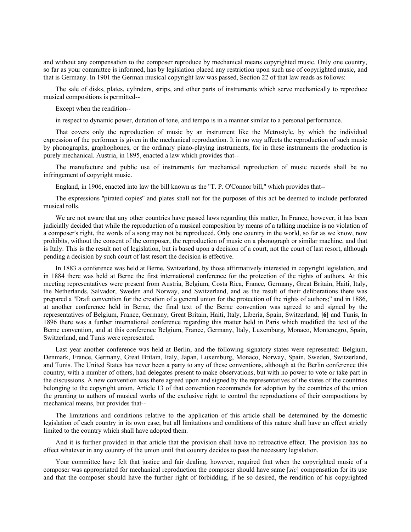and without any compensation to the composer reproduce by mechanical means copyrighted music. Only one country, so far as your committee is informed, has by legislation placed any restriction upon such use of copyrighted music, and that is Germany. In 1901 the German musical copyright law was passed, Section 22 of that law reads as follows:

The sale of disks, plates, cylinders, strips, and other parts of instruments which serve mechanically to reproduce musical compositions is permitted--

Except when the rendition--

in respect to dynamic power, duration of tone, and tempo is in a manner similar to a personal performance.

That covers only the reproduction of music by an instrument like the Metrostyle, by which the individual expression of the performer is given in the mechanical reproduction. It in no way affects the reproduction of such music by phonographs, graphophones, or the ordinary piano-playing instruments, for in these instruments the production is purely mechanical. Austria, in 1895, enacted a law which provides that--

The manufacture and public use of instruments for mechanical reproduction of music records shall be no infringement of copyright music.

England, in 1906, enacted into law the bill known as the "T. P. O'Connor bill," which provides that--

The expressions ''pirated copies'' and plates shall not for the purposes of this act be deemed to include perforated musical rolls.

We are not aware that any other countries have passed laws regarding this matter, In France, however, it has been judicially decided that while the reproduction of a musical composition by means of a talking machine is no violation of a composer's right, the words of a song may not be reproduced. Only one country in the world, so far as we know, now prohibits, without the consent of the composer, the reproduction of music on a phonograph or similar machine, and that is Italy. This is the result not of legislation, but is based upon a decision of a court, not the court of last resort, although pending a decision by such court of last resort the decision is effective.

In 1883 a conference was held at Berne, Switzerland, by those affirmatively interested in copyright legislation, and in 1884 there was held at Berne the first international conference for the protection of the rights of authors. At this meeting representatives were present from Austria, Belgium, Costa Rica, France, Germany, Great Britain, Haiti, Italy, the Netherlands, Salvador, Sweden and Norway, and Switzerland, and as the result of their deliberations there was prepared a ''Draft convention for the creation of a general union for the protection of the rights of authors;'' and in 1886, at another conference held in Berne, the final text of the Berne convention was agreed to and signed by the representatives of Belgium, France, Germany, Great Britain, Haiti, Italy, Liberia, Spain, Switzerland, **[6]** and Tunis, In 1896 there was a further international conference regarding this matter held in Paris which modified the text of the Berne convention, and at this conference Belgium, France, Germany, Italy, Luxemburg, Monaco, Montenegro, Spain, Switzerland, and Tunis were represented.

Last year another conference was held at Berlin, and the following signatory states were represented: Belgium, Denmark, France, Germany, Great Britain, Italy, Japan, Luxemburg, Monaco, Norway, Spain, Sweden, Switzerland, and Tunis. The United States has never been a party to any of these conventions, although at the Berlin conference this country, with a number of others, had delegates present to make observations, but with no power to vote or take part in the discussions. A new convention was there agreed upon and signed by the representatives of the states of the countries belonging to the copyright union. Article 13 of that convention recommends for adoption by the countries of the union the granting to authors of musical works of the exclusive right to control the reproductions of their compositions by mechanical means, but provides that--

The limitations and conditions relative to the application of this article shall be determined by the domestic legislation of each country in its own case; but all limitations and conditions of this nature shall have an effect strictly limited to the country which shall have adopted them.

And it is further provided in that article that the provision shall have no retroactive effect. The provision has no effect whatever in any country of the union until that country decides to pass the necessary legislation.

Your committee have felt that justice and fair dealing, however, required that when the copyrighted music of a composer was appropriated for mechanical reproduction the composer should have same [*sic*] compensation for its use and that the composer should have the further right of forbidding, if he so desired, the rendition of his copyrighted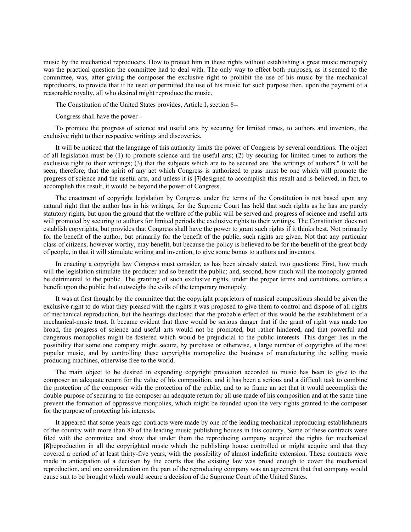music by the mechanical reproducers. How to protect him in these rights without establishing a great music monopoly was the practical question the committee had to deal with. The only way to effect both purposes, as it seemed to the committee, was, after giving the composer the exclusive right to prohibit the use of his music by the mechanical reproducers, to provide that if he used or permitted the use of his music for such purpose then, upon the payment of a reasonable royalty, all who desired might reproduce the music.

The Constitution of the United States provides, Article I, section 8--

Congress shall have the power--

To promote the progress of science and useful arts by securing for limited times, to authors and inventors, the exclusive right to their respective writings and discoveries.

It will be noticed that the language of this authority limits the power of Congress by several conditions. The object of all legislation must be (1) to promote science and the useful arts; (2) by securing for limited times to authors the exclusive right to their writings; (3) that the subjects which are to be secured are ''the writings of authors.'' It will be seen, therefore, that the spirit of any act which Congress is authorized to pass must be one which will promote the progress of science and the useful arts, and unless it is **[7]**designed to accomplish this result and is believed, in fact, to accomplish this result, it would be beyond the power of Congress.

The enactment of copyright legislation by Congress under the terms of the Constitution is not based upon any natural right that the author has in his writings, for the Supreme Court has held that such rights as he has are purely statutory rights, but upon the ground that the welfare of the public will be served and progress of science and useful arts will promoted by securing to authors for limited periods the exclusive rights to their writings. The Constitution does not establish copyrights, but provides that Congress shall have the power to grant such rights if it thinks best. Not primarily for the benefit of the author, but primarily for the benefit of the public, such rights are given. Not that any particular class of citizens, however worthy, may benefit, but because the policy is believed to be for the benefit of the great body of people, in that it will stimulate writing and invention, to give some bonus to authors and inventors.

In enacting a copyright law Congress must consider, as has been already stated, two questions: First, how much will the legislation stimulate the producer and so benefit the public; and, second, how much will the monopoly granted be detrimental to the public. The granting of such exclusive rights, under the proper terms and conditions, confers a benefit upon the public that outweighs the evils of the temporary monopoly.

It was at first thought by the committee that the copyright proprietors of musical compositions should be given the exclusive right to do what they pleased with the rights it was proposed to give them to control and dispose of all rights of mechanical reproduction, but the hearings disclosed that the probable effect of this would be the establishment of a mechanical-music trust. It became evident that there would be serious danger that if the grant of right was made too broad, the progress of science and useful arts would not be promoted, but rather hindered, and that powerful and dangerous monopolies might be fostered which would be prejudicial to the public interests. This danger lies in the possibility that some one company might secure, by purchase or otherwise, a large number of copyrights of the most popular music, and by controlling these copyrights monopolize the business of manufacturing the selling music producing machines, otherwise free to the world.

The main object to be desired in expanding copyright protection accorded to music has been to give to the composer an adequate return for the value of his composition, and it has been a serious and a difficult task to combine the protection of the composer with the protection of the public, and to so frame an act that it would accomplish the double purpose of securing to the composer an adequate return for all use made of his composition and at the same time prevent the formation of oppressive monpolies, which might be founded upon the very rights granted to the composer for the purpose of protecting his interests.

It appeared that some years ago contracts were made by one of the leading mechanical reproducing establishments of the country with more than 80 of the leading music publishing houses in this country. Some of these contracts were filed with the committee and show that under them the reproducing company acquired the rights for mechanical **[8]**reproduction in all the copyrighted music which the publishing house controlled or might acquire and that they covered a period of at least thirty-five years, with the possibility of almost indefinite extension. These contracts were made in anticipation of a decision by the courts that the existing law was broad enough to cover the mechanical reproduction, and one consideration on the part of the reproducing company was an agreement that that company would cause suit to be brought which would secure a decision of the Supreme Court of the United States.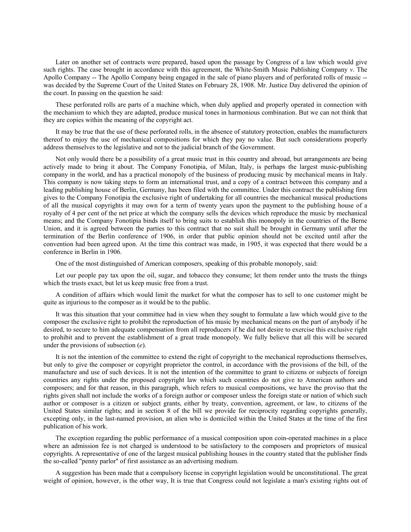Later on another set of contracts were prepared, based upon the passage by Congress of a law which would give such rights. The case brought in accordance with this agreement, the White-Smith Music Publishing Company *v*. The Apollo Company -- The Apollo Company being engaged in the sale of piano players and of perforated rolls of music - was decided by the Supreme Court of the United States on February 28, 1908. Mr. Justice Day delivered the opinion of the court. In passing on the question he said:

These perforated rolls are parts of a machine which, when duly applied and properly operated in connection with the mechanism to which they are adapted, produce musical tones in harmonious combination. But we can not think that they are copies within the meaning of the copyright act.

It may be true that the use of these perforated rolls, in the absence of statutory protection, enables the manufacturers thereof to enjoy the use of mechanical compositions for which they pay no value. But such considerations properly address themselves to the legislative and not to the judicial branch of the Government.

Not only would there be a possibility of a great music trust in this country and abroad, but arrangements are being actively made to bring it about. The Company Fonotipia, of Milan, Italy, is perhaps the largest music-publishing company in the world, and has a practical monopoly of the business of producing music by mechanical means in Italy. This company is now taking steps to form an international trust, and a copy of a contract between this company and a leading publishing house of Berlin, Germany, has been filed with the committee. Under this contract the publishing firm gives to the Company Fonotipia the exclusive right of undertaking for all countries the mechanical musical productions of all the musical copyrights it may own for a term of twenty years upon the payment to the publishing house of a royalty of 4 per cent of the net price at which the company sells the devices which reproduce the music by mechanical means; and the Company Fonotipia binds itself to bring suits to establish this monopoly in the countries of the Berne Union, and it is agreed between the parties to this contract that no suit shall be brought in Germany until after the termination of the Berlin conference of 1906, in order that public opinion should not be excited until after the convention had been agreed upon. At the time this contract was made, in 1905, it was expected that there would be a conference in Berlin in 1906.

One of the most distinguished of American composers, speaking of this probable monopoly, said:

Let our people pay tax upon the oil, sugar, and tobacco they consume; let them render unto the trusts the things which the trusts exact, but let us keep music free from a trust.

A condition of affairs which would limit the market for what the composer has to sell to one customer might be quite as injurious to the composer as it would be to the public.

It was this situation that your committee had in view when they sought to formulate a law which would give to the composer the exclusive right to prohibit the reproduction of his music by mechanical means on the part of anybody if he desired, to secure to him adequate compensation from all reproducers if he did not desire to exercise this exclusive right to prohibit and to prevent the establishment of a great trade monopoly. We fully believe that all this will be secured under the provisions of subsection (*e*).

It is not the intention of the committee to extend the right of copyright to the mechanical reproductions themselves, but only to give the composer or copyright proprietor the control, in accordance with the provisions of the bill, of the manufacture and use of such devices. It is not the intention of the committee to grant to citizens or subjects of foreign countries any rights under the proposed copyright law which such countries do not give to American authors and composers; and for that reason, in this paragraph, which refers to musical compositions, we have the proviso that the rights given shall not include the works of a foreign author or composer unless the foreign state or nation of which such author or composer is a citizen or subject grants, either by treaty, convention, agreement, or law, to citizens of the United States similar rights; and in section 8 of the bill we provide for reciprocity regarding copyrights generally, excepting only, in the last-named provision, an alien who is domiciled within the United States at the time of the first publication of his work.

The exception regarding the public performance of a musical composition upon coin-operated machines in a place where an admission fee is not charged is understood to be satisfactory to the composers and proprietors of musical copyrights. A representative of one of the largest musical publishing houses in the country stated that the publisher finds the so-called ''penny parlor'' of first assistance as an advertising medium.

A suggestion has been made that a compulsory license in copyright legislation would be unconstitutional. The great weight of opinion, however, is the other way, It is true that Congress could not legislate a man's existing rights out of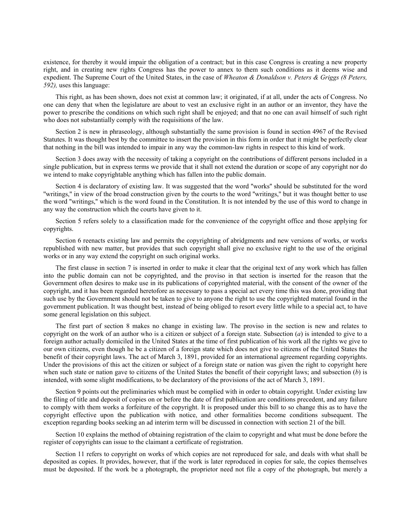existence, for thereby it would impair the obligation of a contract; but in this case Congress is creating a new property right, and in creating new rights Congress has the power to annex to them such conditions as it deems wise and expedient. The Supreme Court of the United States, in the case of *Wheaton & Donaldson v. Peters & Griggs (8 Peters, 592),* uses this language:

This right, as has been shown, does not exist at common law; it originated, if at all, under the acts of Congress. No one can deny that when the legislature are about to vest an exclusive right in an author or an inventor, they have the power to prescribe the conditions on which such right shall be enjoyed; and that no one can avail himself of such right who does not substantially comply with the requisitions of the law.

Section 2 is new in phraseology, although substantially the same provision is found in section 4967 of the Revised Statutes. It was thought best by the committee to insert the provision in this form in order that it might be perfectly clear that nothing in the bill was intended to impair in any way the common-law rights in respect to this kind of work.

Section 3 does away with the necessity of taking a copyright on the contributions of different persons included in a single publication, but in express terms we provide that it shall not extend the duration or scope of any copyright nor do we intend to make copyrightable anything which has fallen into the public domain.

Section 4 is declaratory of existing law. It was suggested that the word ''works'' should be substituted for the word ''writings,'' in view of the broad construction given by the courts to the word ''writings,'' but it was thought better to use the word ''writings,'' which is the word found in the Constitution. It is not intended by the use of this word to change in any way the construction which the courts have given to it.

Section 5 refers solely to a classification made for the convenience of the copyright office and those applying for copyrights.

Section 6 reenacts existing law and permits the copyrighting of abridgments and new versions of works, or works republished with new matter, but provides that such copyright shall give no exclusive right to the use of the original works or in any way extend the copyright on such original works.

The first clause in section 7 is inserted in order to make it clear that the original text of any work which has fallen into the public domain can not be copyrighted, and the proviso in that section is inserted for the reason that the Government often desires to make use in its publications of copyrighted material, with the consent of the owner of the copyright, and it has been regarded heretofore as necessary to pass a special act every time this was done, providing that such use by the Government should not be taken to give to anyone the right to use the copyrighted material found in the government publication. It was thought best, instead of being obliged to resort every little while to a special act, to have some general legislation on this subject.

The first part of section 8 makes no change in existing law. The proviso in the section is new and relates to copyright on the work of an author who is a citizen or subject of a foreign state. Subsection (*a*) is intended to give to a foreign author actually domiciled in the United States at the time of first publication of his work all the rights we give to our own citizens, even though he be a citizen of a foreign state which does not give to citizens of the United States the benefit of their copyright laws. The act of March 3, 1891, provided for an international agreement regarding copyrights. Under the provisions of this act the citizen or subject of a foreign state or nation was given the right to copyright here when such state or nation gave to citizens of the United States the benefit of their copyright laws; and subsection (*b*) is intended, with some slight modifications, to be declaratory of the provisions of the act of March 3, 1891.

Section 9 points out the preliminaries which must be complied with in order to obtain copyright. Under existing law the filing of title and deposit of copies on or before the date of first publication are conditions precedent, and any failure to comply with them works a forfeiture of the copyright. It is proposed under this bill to so change this as to have the copyright effective upon the publication with notice, and other formalities become conditions subsequent. The exception regarding books seeking an ad interim term will be discussed in connection with section 21 of the bill.

Section 10 explains the method of obtaining registration of the claim to copyright and what must be done before the register of copyrights can issue to the claimant a certificate of registration.

Section 11 refers to copyright on works of which copies are not reproduced for sale, and deals with what shall be deposited as copies. It provides, however, that if the work is later reproduced in copies for sale, the copies themselves must be deposited. If the work be a photograph, the proprietor need not file a copy of the photograph, but merely a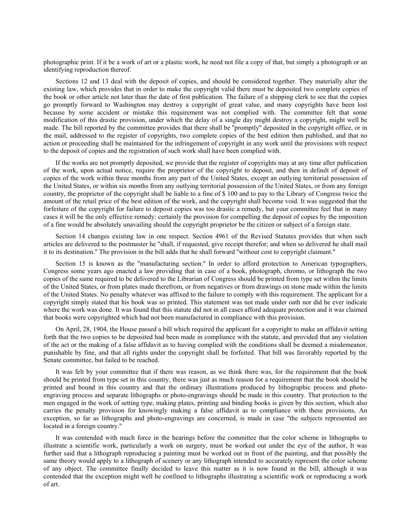photographic print. If it be a work of art or a plastic work, he need not file a copy of that, but simply a photograph or an identifying reproduction thereof.

Sections 12 and 13 deal with the deposit of copies, and should be considered together. They materially alter the existing law, which provides that in order to make the copyright valid there must be deposited two complete copies of the book or other article not later than the date of first publication. The failure of a shipping clerk to see that the copies go promptly forward to Washington may destroy a copyright of great value, and many copyrights have been lost because by some accident or mistake this requirement was not complied with. The committee felt that some modification of this drastic provision, under which the delay of a single day might destroy a copyright, might well be made. The bill reported by the committee provides that there shall be ''promptly'' deposited in the copyright office, or in the mail, addressed to the register of copyrights, two complete copies of the best edition then published, and that no action or proceeding shall be maintained for the infringement of copyright in any work until the provisions with respect to the deposit of copies and the registration of such work shall have been complied with.

If the works are not promptly deposited, we provide that the register of copyrights may at any time after publication of the work, upon actual notice, require the proprietor of the copyright to deposit, and then in default of deposit of copies of the work within three months from any part of the United States, except an outlying territorial possession of the United States, or within six months from any outlying territorial possession of the United States, or from any foreign country, the proprietor of the copyright shall be liable to a fine of \$ 100 and to pay to the Library of Congress twice the amount of the retail price of the best edition of the work, and the copyright shall become void. It was suggested that the forfeiture of the copyright for failure to deposit copies was too drastic a remedy, but your committee feel that in many cases it will be the only effective remedy: certainly the provision for compelling the deposit of copies by the imposition of a fine would be absolutely unavailing should the copyright proprietor be the citizen or subject of a foreign state.

Section 14 changes existing law in one respect. Section 4961 of the Revised Statutes provides that when such articles are delivered to the postmaster he ''shall, if requested, give receipt therefor; and when so delivered he shall mail it to its destination.'' The provision in the bill adds that he shall forward ''without cost to copyright claimant.''

Section 15 is known as the ''manufacturing section.'' In order to afford protection to American typographers, Congress some years ago enacted a law providing that in case of a book, photograph, chromo, or lithograph the two copies of the same required to be delivered to the Librarian of Congress should be printed from type set within the limits of the United States, or from plates made therefrom, or from negatives or from drawings on stone made within the limits of the United States. No penalty whatever was affixed to the failure to comply with this requirement. The applicant for a copyright simply stated that his book was so printed. This statement was not made under oath nor did he ever indicate where the work was done. It was found that this statute did not in all cases afford adequate protection and it was claimed that books were copyrighted which had not been manufactured in compliance with this provision.

On April, 28, 1904, the House passed a bill which required the applicant for a copyright to make an affidavit setting forth that the two copies to be deposited had been made in compliance with the statute, and provided that any violation of the act or the making of a false affidavit as to having complied with the conditions shall be deemed a misdemeanor, punishable by fine, and that all rights under the copyright shall be forfeited. That bill was favorably reported by the Senate committee, but failed to be reached.

It was felt by your committee that if there was reason, as we think there was, for the requirement that the book should be printed from type set in this country, there was just as much reason for a requirement that the book should be printed and bound in this country and that the ordinary illustrations produced by lithographic process and photoengraving process and separate lithographs or photo-engravings should be made in this country. That protection to the men engaged in the work of setting type, making plates, printing and binding books is given by this section, which also carries the penalty provision for knowingly making a false affidavit as to compliance with these provisions, An exception, so far as lithographs and photo-engravings are concerned, is made in case ''the subjects represented are located in a foreign country.''

It was contended with much force in the hearings before the committee that the color scheme in lithographs to illustrate a scientific work, particularly a work on surgery, must be worked out under the eye of the author, It was further said that a lithograph reproducing a painting must be worked out in front of the painting, and that possibly the same theory would apply to a lithograph of scenery or any lithograph intended to accurately represent the color scheme of any object. The committee finally decided to leave this matter as it is now found in the bill, although it was contended that the exception might well be confined to lithographs illustrating a scientific work or reproducing a work of art.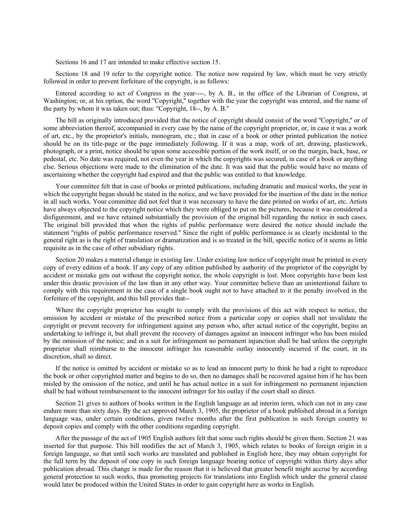Sections 16 and 17 are intended to make effective section 15.

Sections 18 and 19 refer to the copyright notice. The notice now required by law, which must be very strictly followed in order to prevent forfeiture of the copyright, is as follows:

Entered according to act of Congress in the year----, by A. B., in the office of the Librarian of Congress, at Washington; or, at his option, the word "Copyright," together with the year the copyright was entered, and the name of the party by whom it was taken out; thus: ''Copyright, 18--, by A. B.''

The bill as originally introduced provided that the notice of copyright should consist of the word ''Copyright,'' or of some abbreviation thereof, accompanied in every case by the name of the copyright proprietor, or, in case it was a work of art, etc., by the proprietor's initials, monogram, etc.; that in case of a book or other printed publication the notice should be on its title-page or the page immediately following. If it was a map, work of art, drawing, plasticwork, photograph, or a print, notice should be upon some accessible portion of the work itself, or on the margin, back, base, or pedestal, etc. No date was required, not even the year in which the copyrights was secured, in case of a book or anything else. Serious objections were made to the elimination of the date. It was said that the public would have no means of ascertaining whether the copyright had expired and that the public was entitled to that knowledge.

Your committee felt that in case of books or printed publications, including dramatic and musical works, the year in which the copyright began should be stated in the notice, and we have provided for the insertion of the date in the notice in all such works. Your committee did not feel that it was necessary to have the date printed on works of art, etc. Artists have always objected to the copyright notice which they were obliged to put on the pictures, because it was considered a disfigurement, and we have retained substantially the provision of the original bill regarding the notice in such cases. The original bill provided that when the rights of public performance were desired the notice should include the statement "rights of public performance reserved." Since the right of public performance is as clearly incidental to the general right as is the right of translation or dramatization and is so treated in the bill, specific notice of it seems as little requisite as in the case of other subsidiary rights.

Section 20 makes a material change in existing law. Under existing law notice of copyright must be printed in every copy of every edition of a book. If any copy of any edition published by authority of the proprietor of the copyright by accident or mistake gets out without the copyright notice, the whole copyright is lost. More copyrights have been lost under this drastic provision of the law than in any other way. Your committee believe than an unintentional failure to comply with this requirement in the case of a single book ought not to have attached to it the penalty involved in the forfeiture of the copyright, and this bill provides that--

Where the copyright proprietor has sought to comply with the provisions of this act with respect to notice, the omission by accident or mistake of the prescribed notice from a particular copy or copies shall not invalidate the copyright or prevent recovery for infringement against any person who, after actual notice of the copyright, begins an undertaking to infringe it, but shall prevent the recovery of damages against an innocent infringer who has been misled by the omission of the notice; and in a suit for infringement no permanent injunction shall be had unless the copyright proprietor shall reimburse to the innocent infringer his reasonable outlay innocently incurred if the court, in its discretion, shall so direct.

If the notice is omitted by accident or mistake so as to lead an innocent party to think he had a right to reproduce the book or other copyrighted matter and begins to do so, then no damages shall be recovered against him if he has been misled by the omission of the notice, and until he has actual notice in a suit for infringement no permanent injunction shall be had without reimbursement to the innocent infringer for his outlay if the court shall so direct.

Section 21 gives to authors of books written in the English language an ad interim term, which can not in any case endure more than sixty days. By the act approved March 3, 1905, the proprietor of a book published abroad in a foreign language was, under certain conditions, given twelve months after the first publication in such foreign country to deposit copies and comply with the other conditions regarding copyright.

After the passage of the act of 1905 English authors felt that some such rights should be given them. Section 21 was inserted for that purpose. This bill modifies the act of March 3, 1905, which relates to books of foreign origin in a foreign language, so that until such works are translated and published in English here, they may obtain copyright for the full term by the deposit of one copy in such foreign language bearing notice of copyright within thirty days after publication abroad. This change is made for the reason that it is believed that greater benefit might accrue by according general protection to such works, thus promoting projects for translations into English which under the general clause would later be produced within the United States in order to gain copyright here as works in English.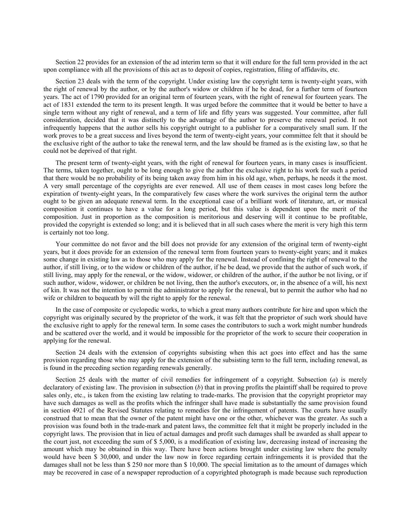Section 22 provides for an extension of the ad interim term so that it will endure for the full term provided in the act upon compliance with all the provisions of this act as to deposit of copies, registration, filing of affidavits, etc.

Section 23 deals with the term of the copyright. Under existing law the copyright term is twenty-eight years, with the right of renewal by the author, or by the author's widow or children if he be dead, for a further term of fourteen years. The act of 1790 provided for an original term of fourteen years, with the right of renewal for fourteen years. The act of 1831 extended the term to its present length. It was urged before the committee that it would be better to have a single term without any right of renewal, and a term of life and fifty years was suggested. Your committee, after full consideration, decided that it was distinctly to the advantage of the author to preserve the renewal period. It not infrequently happens that the author sells his copyright outright to a publisher for a comparatively small sum. If the work proves to be a great success and lives beyond the term of twenty-eight years, your committee felt that it should be the exclusive right of the author to take the renewal term, and the law should be framed as is the existing law, so that he could not be deprived of that right.

The present term of twenty-eight years, with the right of renewal for fourteen years, in many cases is insufficient. The terms, taken together, ought to be long enough to give the author the exclusive right to his work for such a period that there would be no probability of its being taken away from him in his old age, when, perhaps, he needs it the most. A very small percentage of the copyrights are ever renewed. All use of them ceases in most cases long before the expiration of twenty-eight years, In the comparatively few cases where the work survives the original term the author ought to be given an adequate renewal term. In the exceptional case of a brilliant work of literature, art, or musical composition it continues to have a value for a long period, but this value is dependent upon the merit of the composition. Just in proportion as the composition is meritorious and deserving will it continue to be profitable, provided the copyright is extended so long; and it is believed that in all such cases where the merit is very high this term is certainly not too long.

Your committee do not favor and the bill does not provide for any extension of the original term of twenty-eight years, but it does provide for an extension of the renewal term from fourteen years to twenty-eight years; and it makes some change in existing law as to those who may apply for the renewal. Instead of confining the right of renewal to the author, if still living, or to the widow or children of the author, if he be dead, we provide that the author of such work, if still living, may apply for the renewal, or the widow, widower, or children of the author, if the author be not living, or if such author, widow, widower, or children be not living, then the author's executors, or, in the absence of a will, his next of kin. It was not the intention to permit the administrator to apply for the renewal, but to permit the author who had no wife or children to bequeath by will the right to apply for the renewal.

In the case of composite or cyclopedic works, to which a great many authors contribute for hire and upon which the copyright was originally secured by the proprietor of the work, it was felt that the proprietor of such work should have the exclusive right to apply for the renewal term. In some cases the contributors to such a work might number hundreds and be scattered over the world, and it would be impossible for the proprietor of the work to secure their cooperation in applying for the renewal.

Section 24 deals with the extension of copyrights subsisting when this act goes into effect and has the same provision regarding those who may apply for the extension of the subsisting term to the full term, including renewal, as is found in the preceding section regarding renewals generally.

Section 25 deals with the matter of civil remedies for infringement of a copyright. Subsection (*a*) is merely declaratory of existing law. The provision in subsection (*b*) that in proving profits the plaintiff shall be required to prove sales only, etc., is taken from the existing law relating to trade-marks. The provision that the copyright proprietor may have such damages as well as the profits which the infringer shall have made is substantially the same provision found in section 4921 of the Revised Statutes relating to remedies for the infringement of patents. The courts have usually construed that to mean that the owner of the patent might have one or the other, whichever was the greater. As such a provision was found both in the trade-mark and patent laws, the committee felt that it might be properly included in the copyright laws. The provision that in lieu of actual damages and profit such damages shall be awarded as shall appear to the court just, not exceeding the sum of \$ 5,000, is a modification of existing law, decreasing instead of increasing the amount which may be obtained in this way. There have been actions brought under existing law where the penalty would have been \$ 30,000, and under the law now in force regarding certain infringements it is provided that the damages shall not be less than \$ 250 nor more than \$ 10,000. The special limitation as to the amount of damages which may be recovered in case of a newspaper reproduction of a copyrighted photograph is made because such reproduction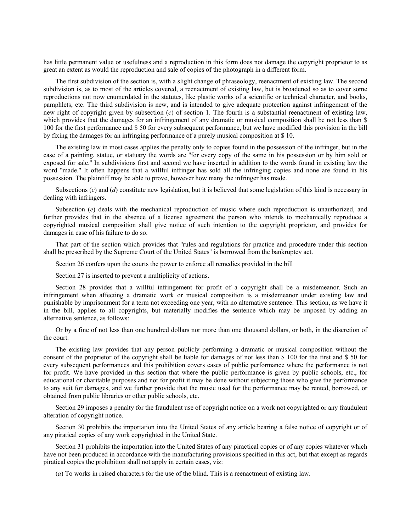has little permanent value or usefulness and a reproduction in this form does not damage the copyright proprietor to as great an extent as would the reproduction and sale of copies of the photograph in a different form.

The first subdivision of the section is, with a slight change of phraseology, reenactment of existing law. The second subdivision is, as to most of the articles covered, a reenactment of existing law, but is broadened so as to cover some reproductions not now enumerdated in the statutes, like plastic works of a scientific or technical character, and books, pamphlets, etc. The third subdivision is new, and is intended to give adequate protection against infringement of the new right of copyright given by subsection (*c*) of section 1. The fourth is a substantial reenactment of existing law, which provides that the damages for an infringement of any dramatic or musical composition shall be not less than \$ 100 for the first performance and \$ 50 for every subsequent performance, but we have modified this provision in the bill by fixing the damages for an infringing performance of a purely musical composition at \$ 10.

The existing law in most cases applies the penalty only to copies found in the possession of the infringer, but in the case of a painting, statue, or statuary the words are ''for every copy of the same in his possession or by him sold or exposed for sale.'' In subdivisions first and second we have inserted in addition to the words found in existing law the word ''made.'' It often happens that a willful infringer has sold all the infringing copies and none are found in his possession. The plaintiff may be able to prove, however how many the infringer has made.

Subsections (*c*) and (*d*) constitute new legislation, but it is believed that some legislation of this kind is necessary in dealing with infringers.

Subsection (*e*) deals with the mechanical reproduction of music where such reproduction is unauthorized, and further provides that in the absence of a license agreement the person who intends to mechanically reproduce a copyrighted musical composition shall give notice of such intention to the copyright proprietor, and provides for damages in case of his failure to do so.

That part of the section which provides that ''rules and regulations for practice and procedure under this section shall be prescribed by the Supreme Court of the United States'' is borrowed from the bankruptcy act.

Section 26 confers upon the courts the power to enforce all remedies provided in the bill

Section 27 is inserted to prevent a multiplicity of actions.

Section 28 provides that a willful infringement for profit of a copyright shall be a misdemeanor. Such an infringement when affecting a dramatic work or musical composition is a misdemeanor under existing law and punishable by imprisonment for a term not exceeding one year, with no alternative sentence. This section, as we have it in the bill, applies to all copyrights, but materially modifies the sentence which may be imposed by adding an alternative sentence, as follows:

Or by a fine of not less than one hundred dollars nor more than one thousand dollars, or both, in the discretion of the court.

The existing law provides that any person publicly performing a dramatic or musical composition without the consent of the proprietor of the copyright shall be liable for damages of not less than \$ 100 for the first and \$ 50 for every subsequent performances and this prohibition covers cases of public performance where the performance is not for profit. We have provided in this section that where the public performance is given by public schools, etc., for educational or charitable purposes and not for profit it may be done without subjecting those who give the performance to any suit for damages, and we further provide that the music used for the performance may be rented, borrowed, or obtained from public libraries or other public schools, etc.

Section 29 imposes a penalty for the fraudulent use of copyright notice on a work not copyrighted or any fraudulent alteration of copyright notice.

Section 30 prohibits the importation into the United States of any article bearing a false notice of copyright or of any piratical copies of any work copyrighted in the United State.

Section 31 prohibits the importation into the United States of any piractical copies or of any copies whatever which have not been produced in accordance with the manufacturing provisions specified in this act, but that except as regards piratical copies the prohibition shall not apply in certain cases, viz:

(*a*) To works in raised characters for the use of the blind. This is a reenactment of existing law.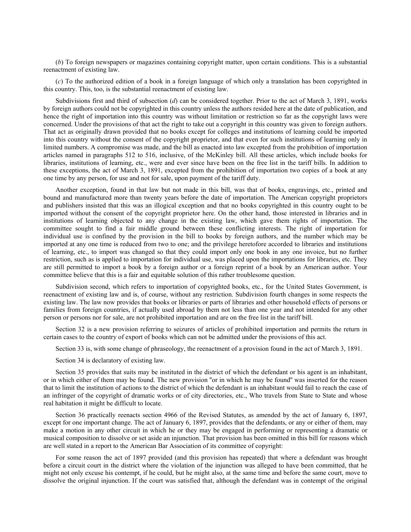(*b*) To foreign newspapers or magazines containing copyright matter, upon certain conditions. This is a substantial reenactment of existing law.

(*c*) To the authorized edition of a book in a foreign language of which only a translation has been copyrighted in this country. This, too, is the substantial reenactment of existing law.

Subdivisions first and third of subsection (*d*) can be considered together. Prior to the act of March 3, 1891, works by foreign authors could not be copyrighted in this country unless the authors resided here at the date of publication, and hence the right of importation into this country was without limitation or restriction so far as the copyright laws were concerned. Under the provisions of that act the right to take out a copyright in this country was given to foreign authors. That act as originally drawn provided that no books except for colleges and institutions of learning could be imported into this country without the consent of the copyright proprietor, and that even for such institutions of learning only in limited numbers. A compromise was made, and the bill as enacted into law excepted from the prohibition of importation articles named in paragraphs 512 to 516, inclusive, of the McKinley bill. All these articles, which include books for libraries, institutions of learning, etc., were and ever since have been on the free list in the tariff bills. In addition to these exceptions, the act of March 3, 1891, excepted from the prohibition of importation two copies of a book at any one time by any person, for use and not for sale, upon payment of the tariff duty.

Another exception, found in that law but not made in this bill, was that of books, engravings, etc., printed and bound and manufactured more than twenty years before the date of importation. The American copyright proprietors and publishers insisted that this was an illogical exception and that no books copyrighted in this country ought to be imported without the consent of the copyright proprietor here. On the other hand, those interested in libraries and in institutions of learning objected to any change in the existing law, which gave them rights of importation. The committee sought to find a fair middle ground between these conflicting interests. The right of importation for individual use is confined by the provision in the bill to books by foreign authors, and the number which may be imported at any one time is reduced from two to one; and the privilege heretofore accorded to libraries and institutions of learning, etc., to import was changed so that they could import only one book in any one invoice, but no further restriction, such as is applied to importation for individual use, was placed upon the importations for libraries, etc. They are still permitted to import a book by a foreign author or a foreign reprint of a book by an American author. Your committee believe that this is a fair and equitable solution of this rather troublesome question.

Subdivision second, which refers to importation of copyrighted books, etc., for the United States Government, is reenactment of existing law and is, of course, without any restriction. Subdivision fourth changes in some respects the existing law. The law now provides that books or libraries or parts of libraries and other household effects of persons or families from foreign countries, if actually used abroad by them not less than one year and not intended for any other person or persons nor for sale, are not prohibited importation and are on the free list in the tariff bill.

Section 32 is a new provision referring to seizures of articles of prohibited importation and permits the return in certain cases to the country of export of books which can not be admitted under the provisions of this act.

Section 33 is, with some change of phraseology, the reenactment of a provision found in the act of March 3, 1891.

Section 34 is declaratory of existing law.

Section 35 provides that suits may be instituted in the district of which the defendant or his agent is an inhabitant, or in which either of them may be found. The new provision ''or in which he may be found'' was inserted for the reason that to limit the institution of actions to the district of which the defendant is an inhabitant would fail to reach the case of an infringer of the copyright of dramatic works or of city directories, etc., Who travels from State to State and whose real habitation it might be difficult to locate.

Section 36 practically reenacts section 4966 of the Revised Statutes, as amended by the act of January 6, 1897, except for one important change. The act of January 6, 1897, provides that the defendants, or any or either of them, may make a motion in any other circuit in which he or they may be engaged in performing or representing a dramatic or musical composition to dissolve or set aside an injunction. That provision has been omitted in this bill for reasons which are well stated in a report to the American Bar Association of its committee of copyright:

For some reason the act of 1897 provided (and this provision has repeated) that where a defendant was brought before a circuit court in the district where the violation of the injunction was alleged to have been committed, that he might not only excuse his contempt, if he could, but he might also, at the same time and before the same court, move to dissolve the original injunction. If the court was satisfied that, although the defendant was in contempt of the original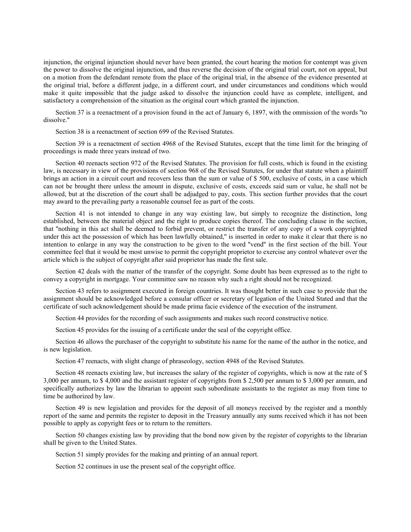injunction, the original injunction should never have been granted, the court hearing the motion for contempt was given the power to dissolve the original injunction, and thus reverse the decision of the original trial court, not on appeal, but on a motion from the defendant remote from the place of the original trial, in the absence of the evidence presented at the original trial, before a different judge, in a different court, and under circumstances and conditions which would make it quite impossible that the judge asked to dissolve the injunction could have as complete, intelligent, and satisfactory a comprehension of the situation as the original court which granted the injunction.

Section 37 is a reenactment of a provision found in the act of January 6, 1897, with the ommission of the words ''to dissolve.''

Section 38 is a reenactment of section 699 of the Revised Statutes.

Section 39 is a reenactment of section 4968 of the Revised Statutes, except that the time limit for the bringing of proceedings is made three years instead of two.

Section 40 reenacts section 972 of the Revised Statutes. The provision for full costs, which is found in the existing law, is necessary in view of the provisions of section 968 of the Revised Statutes, for under that statute when a plaintiff brings an action in a circuit court and recovers less than the sum or value of \$ 500, exclusive of costs, in a case which can not be brought there unless the amount in dispute, exclusive of costs, exceeds said sum or value, he shall not be allowed, but at the discretion of the court shall be adjudged to pay, costs. This section further provides that the court may award to the prevailing party a reasonable counsel fee as part of the costs.

Section 41 is not intended to change in any way existing law, but simply to recognize the distinction, long established, between the material object and the right to produce copies thereof. The concluding clause in the section, that ''nothing in this act shall be deemed to forbid prevent, or restrict the transfer of any copy of a work copyrighted under this act the possession of which has been lawfully obtained,'' is inserted in order to make it clear that there is no intention to enlarge in any way the construction to be given to the word ''vend'' in the first section of the bill. Your committee feel that it would be most unwise to permit the copyright proprietor to exercise any control whatever over the article which is the subject of copyright after said proprietor has made the first sale.

Section 42 deals with the matter of the transfer of the copyright. Some doubt has been expressed as to the right to convey a copyright in mortgage. Your committee saw no reason why such a right should not be recognized.

Section 43 refers to assignment executed in foreign countries. It was thought better in such case to provide that the assignment should be acknowledged before a consular officer or secretary of legation of the United Stated and that the certificate of such acknowledgement should be made prima facie evidence of the execution of the instrument.

Section 44 provides for the recording of such assignments and makes such record constructive notice.

Section 45 provides for the issuing of a certificate under the seal of the copyright office.

Section 46 allows the purchaser of the copyright to substitute his name for the name of the author in the notice, and is new legislation.

Section 47 reenacts, with slight change of phraseology, section 4948 of the Revised Statutes.

Section 48 reenacts existing law, but increases the salary of the register of copyrights, which is now at the rate of \$ 3,000 per annum, to \$ 4,000 and the assistant register of copyrights from \$ 2,500 per annum to \$ 3,000 per annum, and specifically authorizes by law the librarian to appoint such subordinate assistants to the register as may from time to time be authorized by law.

Section 49 is new legislation and provides for the deposit of all moneys received by the register and a monthly report of the same and permits the register to deposit in the Treasury annually any sums received which it has not been possible to apply as copyright fees or to return to the remitters.

Section 50 changes existing law by providing that the bond now given by the register of copyrights to the librarian shall be given to the United States.

Section 51 simply provides for the making and printing of an annual report.

Section 52 continues in use the present seal of the copyright office.